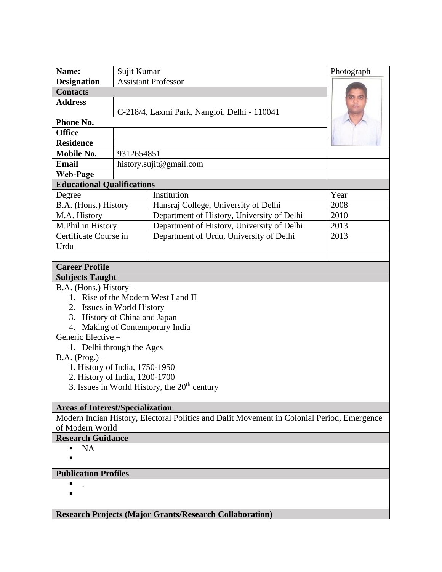| Name:                                                                                      | Sujit Kumar                                  |                                            | Photograph |
|--------------------------------------------------------------------------------------------|----------------------------------------------|--------------------------------------------|------------|
| <b>Designation</b>                                                                         | <b>Assistant Professor</b>                   |                                            |            |
| <b>Contacts</b>                                                                            |                                              |                                            |            |
| <b>Address</b>                                                                             | C-218/4, Laxmi Park, Nangloi, Delhi - 110041 |                                            |            |
| Phone No.                                                                                  |                                              |                                            |            |
| <b>Office</b>                                                                              |                                              |                                            |            |
| <b>Residence</b>                                                                           |                                              |                                            |            |
| Mobile No.                                                                                 | 9312654851                                   |                                            |            |
| <b>Email</b>                                                                               | history.sujit@gmail.com                      |                                            |            |
| <b>Web-Page</b>                                                                            |                                              |                                            |            |
| <b>Educational Qualifications</b>                                                          |                                              |                                            |            |
| Degree                                                                                     |                                              | Institution                                | Year       |
| B.A. (Hons.) History                                                                       |                                              | Hansraj College, University of Delhi       | 2008       |
| M.A. History                                                                               |                                              | Department of History, University of Delhi | 2010       |
| M.Phil in History                                                                          |                                              | Department of History, University of Delhi | 2013       |
| Certificate Course in                                                                      |                                              | Department of Urdu, University of Delhi    | 2013       |
| Urdu                                                                                       |                                              |                                            |            |
|                                                                                            |                                              |                                            |            |
| <b>Career Profile</b>                                                                      |                                              |                                            |            |
| <b>Subjects Taught</b>                                                                     |                                              |                                            |            |
| $B.A.$ (Hons.) History –                                                                   |                                              |                                            |            |
| 1. Rise of the Modern West I and II                                                        |                                              |                                            |            |
| 2. Issues in World History                                                                 |                                              |                                            |            |
| 3. History of China and Japan                                                              |                                              |                                            |            |
| 4. Making of Contemporary India                                                            |                                              |                                            |            |
| Generic Elective -                                                                         |                                              |                                            |            |
| 1. Delhi through the Ages                                                                  |                                              |                                            |            |
| $B.A. (Prog.) -$                                                                           |                                              |                                            |            |
| 1. History of India, 1750-1950                                                             |                                              |                                            |            |
| 2. History of India, 1200-1700                                                             |                                              |                                            |            |
| 3. Issues in World History, the $20th$ century                                             |                                              |                                            |            |
| <b>Areas of Interest/Specialization</b>                                                    |                                              |                                            |            |
| Modern Indian History, Electoral Politics and Dalit Movement in Colonial Period, Emergence |                                              |                                            |            |
| of Modern World                                                                            |                                              |                                            |            |
| <b>Research Guidance</b>                                                                   |                                              |                                            |            |
| <b>NA</b><br>п                                                                             |                                              |                                            |            |
|                                                                                            |                                              |                                            |            |
| <b>Publication Profiles</b>                                                                |                                              |                                            |            |
| п                                                                                          |                                              |                                            |            |
|                                                                                            |                                              |                                            |            |
|                                                                                            |                                              |                                            |            |

**Research Projects (Major Grants/Research Collaboration)**